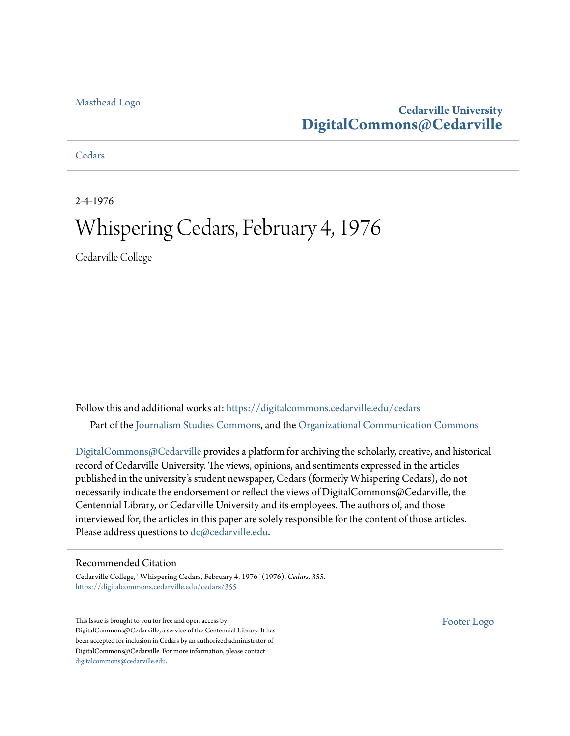#### [Masthead Logo](http://www.cedarville.edu/?utm_source=digitalcommons.cedarville.edu%2Fcedars%2F355&utm_medium=PDF&utm_campaign=PDFCoverPages)

#### **Cedarville University [DigitalCommons@Cedarville](https://digitalcommons.cedarville.edu?utm_source=digitalcommons.cedarville.edu%2Fcedars%2F355&utm_medium=PDF&utm_campaign=PDFCoverPages)**

**[Cedars](https://digitalcommons.cedarville.edu/cedars?utm_source=digitalcommons.cedarville.edu%2Fcedars%2F355&utm_medium=PDF&utm_campaign=PDFCoverPages)** 

2-4-1976

## Whispering Cedars, February 4, 1976

Cedarville College

Follow this and additional works at: [https://digitalcommons.cedarville.edu/cedars](https://digitalcommons.cedarville.edu/cedars?utm_source=digitalcommons.cedarville.edu%2Fcedars%2F355&utm_medium=PDF&utm_campaign=PDFCoverPages) Part of the [Journalism Studies Commons](http://network.bepress.com/hgg/discipline/333?utm_source=digitalcommons.cedarville.edu%2Fcedars%2F355&utm_medium=PDF&utm_campaign=PDFCoverPages), and the [Organizational Communication Commons](http://network.bepress.com/hgg/discipline/335?utm_source=digitalcommons.cedarville.edu%2Fcedars%2F355&utm_medium=PDF&utm_campaign=PDFCoverPages)

[DigitalCommons@Cedarville](http://digitalcommons.cedarville.edu/) provides a platform for archiving the scholarly, creative, and historical record of Cedarville University. The views, opinions, and sentiments expressed in the articles published in the university's student newspaper, Cedars (formerly Whispering Cedars), do not necessarily indicate the endorsement or reflect the views of DigitalCommons@Cedarville, the Centennial Library, or Cedarville University and its employees. The authors of, and those interviewed for, the articles in this paper are solely responsible for the content of those articles. Please address questions to [dc@cedarville.edu.](mailto:dc@cedarville.edu)

#### Recommended Citation

Cedarville College, "Whispering Cedars, February 4, 1976" (1976). *Cedars*. 355. [https://digitalcommons.cedarville.edu/cedars/355](https://digitalcommons.cedarville.edu/cedars/355?utm_source=digitalcommons.cedarville.edu%2Fcedars%2F355&utm_medium=PDF&utm_campaign=PDFCoverPages)

This Issue is brought to you for free and open access by DigitalCommons@Cedarville, a service of the Centennial Library. It has been accepted for inclusion in Cedars by an authorized administrator of DigitalCommons@Cedarville. For more information, please contact [digitalcommons@cedarville.edu](mailto:digitalcommons@cedarville.edu).

[Footer Logo](http://www.cedarville.edu/Academics/Library.aspx?utm_source=digitalcommons.cedarville.edu%2Fcedars%2F355&utm_medium=PDF&utm_campaign=PDFCoverPages)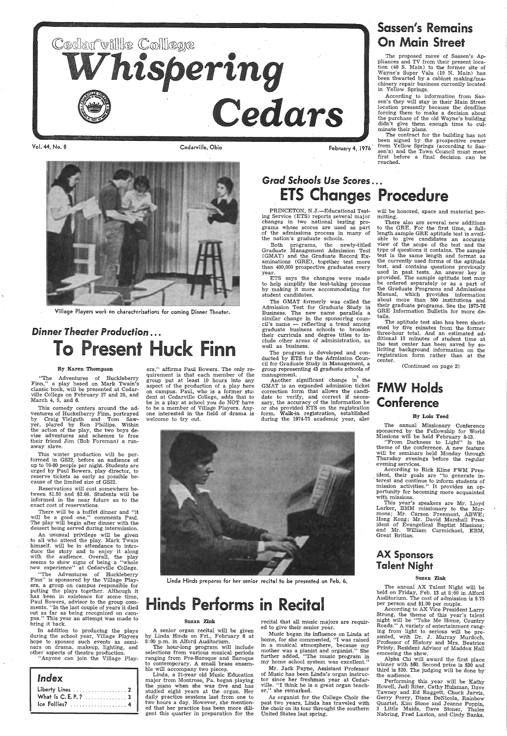

Vol. 44, No. 8 Cedarville, Ohio



Village Players work on characterizations for coming Dinner Theater.

## *Dinner Theater Production* ... To Present Huck Finn

#### By Karen Thompson

"The Adventures of Huckleberry Finn," <sup>a</sup>play based on Mark Twain's classic book, will be presented at Cedarville College on February 27 and 28, and March 4, 5, and 6.

This winter production will be per-<br>formed in GS22, before an audience of up to 70-80 people per night. Students are urged by Paul Bowers, play director, to reserve tickets as early as possible because of the limited size of GS22.

This comedy centers around the adventures of Huckelberry Finn, portrayed by Craig Vielguth and Tom Sawyer, played by Ron Phillips. Within the action of the play, the two boys de- vise adventures and schemes to free their friend Jim (Bob Foreman) a runaway slave.

An unusual privilege will be given the play. Mark

Reservations will cost somewhere between \$1.50 and \$2.00. Students will be informed in the near future as to the exact cost of reservations.

There will be a buffet dinner and "it will be a good one," comments Paul. The play will begin after dinner with the dessert being served during intermission.

PRINCETON, N.J.-Educational Testing Service (ETS) reports several major changes in two national testing pro-<br>grams whose scores are used as part of the admissions process in many of the nation's graduate schools.

himself, will be in attendance to introduce the story and to enjoy it along with the audience. Overall, the play seems to show signs of being a "whole new experience" at Cedarville College.

ers,'' affirms Paul Bowers. The only requirement is that each member of the group put at least 10 hours into any aspect of the production of a play here on campus. Paul, who is a former student at Cedarville College, adds that to be in <sup>a</sup>play at school you do NOT have to be a member of Village Players. Anyone interested in the field of drama is welcome to try out.

The program is developed and conducted by ETS for the Admission Council for Graduate Study in Management, <sup>a</sup> group representing 43 graduate schools of management.

February 4, 1976

Sassen's Remains

On Main Street The proposed move of Sassen's Ap-

Another significant change in the GMAT is an expanded admission ticket correction form that allows the candidate to verify, and correct if necessary, the accuracy of the information he or she provided ETS on the registration form. Walk-in registration, established during the 1974-75 academic year, also

will be honored, space and material per-<br>mitting.

pliances and TV from their present location ( 40 S. Main) to the former site of Wayne's Super Valu (10 N. Main) has been thwarted by a cabinet making/ma chinery repair business currently located in Yellow Springs.

According to information from Sassen's they will stay in their Main Street location presently because the deadline forcing them to make a decision about<br>the purchase of the old Wayne's building didn't give them enough time to culminate their plans.

The contract for the building has not been signed by the prospective owner from Yellow Springs (according to Sassen's) and the Town Council must meet first before a final decision can be reached.

## *Grad Schools Use Scores...* ETS Changes Procedure

Both programs, the newly-titled Graduate Management Admission Test (GMAT) and the Graduate Record Examinations (GRE), together test more than 400,000 prospective graduates every year.

ETS says the changes were made to help simplify the test-taking process by making it more accommodating for student candidates.

> The annual AX Talent Night will be held on Friday, Feb. 13 at 8:00 in Alford Auditorium. The cost of admission is \$.75 per person and \$1.00 per couple.<br>According to AX Vice President Larry

The GMAT formerly was called the Admission Test for Graduate Study in Business. The new name parallels <sup>a</sup> similar change in the sponsoring council's name — reflecting a trend among<br>graduate business schools to broaden graduate business schools to broaden<br>their curricula and degree titles to include other areas of administration, as well as business.

The hour-long program will include selections from various musical periods ranging from Pre-Baroque and Baroque to contemporary. A small brass ensemble will accompany two pieces.

Music began its influence on Linda at home, for she commented, "I was raised in a musical atmosphere, because my mother was a pianist and organist." She further added, "The music program in my home school system was excellent."

As organist for the College Choir the past two years, Linda has traveled with the choir on its tour throught the southern United States last spring.

Strong, the theme of this year's talent night will be "Take Me Home, Country Roads." A variety of entertainment ranging from light to serious will be pre sented, with Dr. J. Murray Murdoch, Professor of History and Mrs. Beatrice Printy, Resident Advisor of Maddox Hall emceeing the show.

Alpha Chi will award the first place winner with \$60. Second prize is \$30 and third is \$20. The judging will be done by the audience.

There also are several. new additions to the GRE. For the first time, a fulllength sample GRE aptitude test is available to give candidates an accurate view of the scope of the test and the type of questions it contains. The sample test is the same length and format as the currently used forms of the aptitude test, and contains questions previously used in past tests. An answer key is<br>provided. The sample aptitude test may provident and separately or as a part of the Graduate Programs and Admissions Manual, which provides information about more than 500 institutions and their graduate programs. See the 1975-76 GRE Information Bulletin for more details.

The aptitude test also has been shortened by five minutes from the former three-hour total. And an estimated additional 15 minutes of student time at the test center has been saved by so- liciting background information on the registration form rather than at the center.

(Continued on page 2)

### FMW Holds ·Conference

#### By Lois Teed

The annual Missionary Conference sponsored by the Fellowship for World Missions will be held February 8-13.

"From Darkness to Light" is the theme of the conference. A new feature will be seminars held Monday through<br>Thursday evenings before the regular evening services.

According to Rick Kline FWM President, their goals are "to generate in- . terest and continue to inform students of mission activities." It provides an op portunity for becoming more acquainted with missions.

This year's speakers are Mr. Lloyd Larker, BMM missionary to the Mormons; Mr. Carson Freemont, ABWE; Hong Kong; Mr. David Marshall President of Evangelical Baptist Missions; and Mr. William Carmichael, EBM, Great Britian.

### AX Sponsors Talent Night

"The Adventures of Huckleberry Finn" is sponsored by the Village Players, a group on campus responsible for putting the plays together. Although it has been in existence for some time, Paul Bowers, advisor to the group comments, "In the last couple of years it died out as far as being recognized on campus." This year an attempt was made to bring it back.

In addition to producing the plays during the school year, Village Players hope to sponsor such events as seminars on drama, makeup, lighting, and other aspects of theatre production.

"Anyone can join the Village Play-

| Index              |  |
|--------------------|--|
|                    |  |
| What Is C.E.P.?  3 |  |
| Ice Follies?  4    |  |



Linda Hinds prepares for her senior recital to be presented on Feb. 6. Suzan Zink

## inds Performs in Recital

#### Suzan Zink

<sup>A</sup>senior organ recital will be given by Linda Hinds on Fri., February 6 at 8: 00 p.m. in Alford Auditorium.

Linda, a 21-year old Music Education major from Montrose, Pa. began playing the piano when she was five and has studied eight years at the organ. Her daily practice sessions last from one to two hours a day. However, she mentioned that her practice has been more diligent this quarter in preparation for the

recital that all music majors are requir ed to give their senior year.

Mr. Jack Payne, Assistant Professor of Music has been Linda's organ instructor since her freshman year at Cedarville. "I think he is a great organ teacher," she remarked.

Performing this year will be Kathy Howell, Judi Riter, Cathy Hulsman, Dave Tawney and Ed Baggett, Chuck Jarvis, Gerry Perry, Diane DeNicola, Rainbow Quartet, Kim Stone and Jeanne Poppin, 3 Little Maids, Dave Stoner, Thales Nabring, Fred Laxton, and Cindy Banks.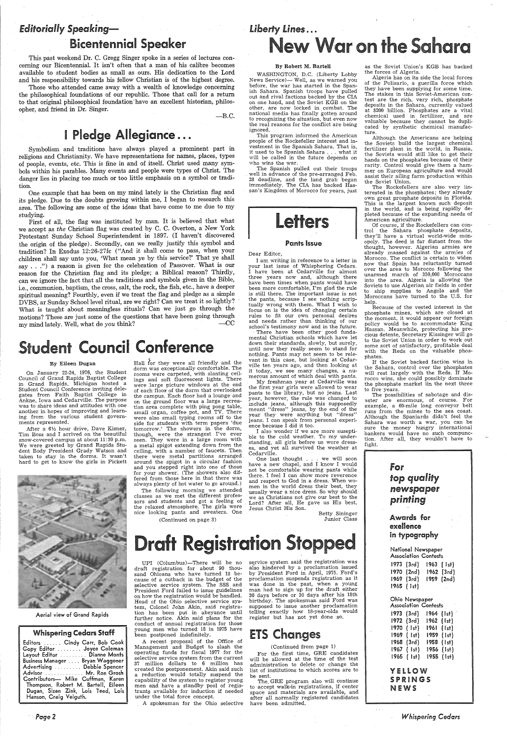## *Editorially Speaking—*

## Bicentennial Speaker

This past weekend Dr. C. Gregg Singer spoke in a series of lectures concerning our Bicentennial. It isn't often that a man of his calibre becomes available to student bodies as small as ours. His dedication to the Lord and his responsibility towards his fellow Christian is of the highest degree.

Those who attended came away with a wealth of knowledge concerning the philosophical foundations of our republic. Those that call for a return to that original philosophical foundation'have an excellent historian, philosopher, and friend in Dr. Singer.

 $-B.C.$ 

## **I Pledge Allegiance...**

Symbolism and traditions have always played a prominent part in religions and Christianity. We have representations for names, places, types of people, events, etc. This is fine in and of itself. Christ used many symbols within his parables. Many events and people were types of Christ. The danger lies in placing too much or too little emphasis on a symbol or tradition.

First of all, the flag was instituted by man. It is believed that what we accept as *the* Christian flag was created by C. C. Overton, a New York Protestant. Sunday School Superintendent in 1897. (I haven't discovered the origin of the pledge). Secondly, can we really justify this symbol and tradition? In Exodus 12:26-27fc ("And it shall come to pass, when your children shall say unto you, 'What mean ye by this service?' That ye shall say  $\ldots$ ") a reason is given for the celebration of Passover. What is our reason for the Christian flag and its pledge; a Biblical reason? Thirdly, can we ignore the fact that all the traditions and symbols given in the Bible, i.e., communion, baptism, the cross, salt, the rock, the fish, etc., have a deeper spiritual meaning? Fourthly, even if we treat the flag and pledge as a simple DVBS, ar Sunday School level ritual, are we right? Can we treat it so lightly? What is taught about meaningless rituals? Can we just go through the motions? These are just some of the questions that have been going through  $m$  must lately Well, what do you think? my mind lately. Well, what do you think?

## Student Council Conference

One example that has been on my mind lately is the Christian flag and its pledge. Due to the doubts growing within me, I began to research this area. The following are some of the ideas that have come to me due to my studying.

**By Eileen Dugan** Hall for they were all friendly and the<br>
Council of dram (dram was sevectionally confortable. The<br>
Council Grand Rapids Baptist College ings and soft fluorescent lights. There<br>
in Grand Rapids, Michigan and you stepped right into one of those for your shower: (The showers also differed from those here in that there was always plenty of hot water to go around.)

## *Liberty Lines* ... **New War on the Sahara**

#### By Eileen Dugan

On January 22-24, 1976, the Student Council of Grand Rapids Baptist College in Grand Rapids, Michigan hosted <sup>a</sup> Student Council Conference inviting delegates from Faith Baptist College in Ankne, Iowa and Cedarville. The purpose was to share ideas and attitudes with one another in hopes of improving and learning from the various student governments represented.

After a  $6\frac{1}{2}$  hour drive, Dave Kisner, Tim Boss and I arrived on the beautiful snow-covered campus at about 11:30 p.m. We were greeted by Grand Rapids Student Body President Grady Watson and taken to stay in the dorms. It wasn't<br>hard to get to know the girls in Pickett



There have been other good fundamental Christian schools which have let down their standards, slowly, but surely, until now they really seem to stand for nothing. Pants may not seem to be relevant in this case, but looking at Cedarville ten years ago, and then looking at it today, we see many changes, a numerous amount of which deal with pants.

UPI (Columbus)-There will be no draft registration for about 90 thousand Ohioans who have turned 18 because of a cutback in the budget of the selective service system. The SSS and President Ford failed to issue guidelines on how the registration would be handled. Head of the Ohio selective service system, Colonel John Akin, said registration has been put in abeyance until further notice. Akin said plans for the conduct of annual registration for those young men who turned 18 in 1975 have been postponed indefinitely.

The following morning we attended classes as we met the different professors and students and got a feeling of the relaxed atmosphere. The girls wore nice looking pants and sweaters. One

(Continued on page 3)

A recent proposal of the Office of Management and Budget to slash the operating funds for fiscal 1977 for the selective service system from the current 37 million dpllars to 6 million has created the postponement. Akin said such a reduction would totally suspend the capability of the system to register young men and have a standby pool of registrants available for induction if needed under the total force concept.

#### By Robert M. Bartell

WASHINGTON, D.C. (Liberty Lobby News Service)- Well, as we warned you before, the war has started in the Spanish Sahara. Spanish troops have pulled out and rival factions backed by the CIA on one hand, and the Soviet KGB on the other, are now locked in combat. The national media has finally gotten around to recognizing the situation, but even now the real reasons for the conflict are being ignored.

This program informed the American people of the Rockefeller interest and investment in the Spanish Sahara. That is, it used to be Spanish Sahara ... what it will be called in the future depends on who wins the war.

The Spanish pulled out their troops well in advance of the pre-arranged Feb. 28 deadline, and the land grab began immediately. The CIA has backed Hassan's Kingdom of Morocco for years, just



#### Pants Issue

Dear Editor,

<sup>I</sup>am writing in reference to a letter in your last issue of Whisphering Cedars. I have been at Cedarville for almost three years now and, although there have been times when pants would have been more comfortable, I'm glad the rule is still there. The important issue is not the pants, because I see nothing scriptually wrong with them. What I wish to focus on is the idea of changing certain rules to fit our own personal desires and needs rather than thinking of our school's testimony now and in the future.

Because of the vested interest in the <sup>p</sup>hosphate mines, which are closed at the moment, it would appear our foreign policy would be to accommodate King Hassan. Meanwhile, protecting his precious detente, Secretary Kissinger will go to the Soviet Union in order to work out some sort of satisfactory, profitable deal with the Reds on the valuable phosphates

> YELLOW SPRINGS **NEWS**

 $\sim$   $\sim$   $\sim$ 

My freshman year at Cedarville was the first year girls were allowed to wear pants to the library, but no jeans. Last year, however, the rule was -changed to include jeans, although this supposedly meant "dress" jeans, by the end of the year they were anything but "dress" jeans. I can speak from personal experience because I did it too.

I also wonder if we are more suseptible to the cold weather. To my understanding, all girls before us wore dresses, and yet all survived the weather at Cedarville.

One last thought . . . we will soon have a new chapel, and I know I would not be comfortable wearing pants while there. I feel I can show more reverence and respect to God in a dress. When women in the world dress their best, they usually wear <sup>a</sup>nice dress. So why should we as Christians not give our best to the Lord? After all, He gave us His best, Jesus Christ His Son.

Betty Sininger Junior Class

#### Aerial view of Grand Rapids

## **Draft kegistration stopped**

· *Page2* 

<sup>A</sup>spokesman for the Ohio selective

service system said the registration was also hindered by a proclamation issued by President Ford in April, 1975. Ford's proclamation suspends registration as it was done in the past, when a young man had to sign up for the draft either <sup>30</sup>days before or 30 days after his 18th birthday. The spokesman said Ford was supposed to issue another proclamation telling exactly how 18-year-olds would register but has not yet done so.

## **ETS Changes**

(Continued from page 1)

For the first time, GRE candidates will be allowed at the time of the test administration to delete or change the list of institutions to which scores are to be sent.

The. GRE program also will continue to accept walk-in registrations, if center space and materials are available, and after all normally registered candidates have been. admitted.

as the Soviet Union's KGB has backed the forces of Algeria.

Algeria has on its side the local forces of the Polisario, a guerilla force which they have been supplying for some time. The stakes in this Soviet-American contest are the rich, very rich, phosphate deposits in the Sahara, currently valued at \$200 billion. Phosphates are a vital chemical used in fertilizer, and are valuable because they cannot be duplicated by synthetic chemical manufacture.

Although the Americans are helping the Soviets build the largest chemical fertilizer plant in the world, in Russia, the Soviets would still like to get their hands on the phosphates because of their rarity. Control would give them a hammer on European agriculture and would assist their ailing farm production within the Soviet Union.

The Rockefellers are also very iinterested in the phosphates; they already own great prosphate deposits in Florida. This is the largest known such deposit in the world, and is being rapidly de<sup>p</sup>leted because of the expanding needs of American agriculture.

Of course, if the Rockefellers can control the Sahara phosphate deposits, they'll have a virtual world-wide monopoly. The deed is far distant from the thought, however. Algerian armies are already massed against the armies of Morocco. The conflict is certain to widen now that Spain has reluctantly turned over the area to Morocco following the unarmed march of 350,000 Moroccans into the area. Algeria is allowing the Soviets to use Algerian air fields in order to ship supplies to Angola and the Moroccans have turned to the U.S. for help.

If the Soviet backed faction wins in the Sahara, control over the phosphates will rest largely with the Reds. If Morocco wins, she could possibly dominate the phosphate market iin the next three to five years.

The possibilities of sabotage and disaster are enormous, of course. For example, a 60-mile long conveyor belt runs from the mines to the sea coast. Although the Spaniards didn't feel the Sahara was worth a war, you can be sure the money hungry international bankers would have no such compunction. After all, they wouldn't have to fight.



| National Newspaper<br>Association Contests |                                               |                |                |  |  |
|--------------------------------------------|-----------------------------------------------|----------------|----------------|--|--|
|                                            | 1973 (3rd)                                    | 1963           | $[$ $]$ st $)$ |  |  |
|                                            | 1970 (2nd) i                                  | $1962$ $(3rd)$ |                |  |  |
|                                            | 1969 (3rd)                                    | 1959 (2nd)     |                |  |  |
|                                            | 1965 (1st)                                    |                |                |  |  |
|                                            | Ohio Newspaper<br><b>Association Contests</b> |                |                |  |  |
|                                            | 1973 (3rd)                                    | 1964           | $($ Ist $)$    |  |  |
|                                            | 1972 (3rd)                                    | 1962           | $\{  s_t  \}$  |  |  |
|                                            | 1970 ( Ist) 1961                              |                | (1st)          |  |  |
| 1969 -                                     | $($ Ist $)$                                   | 1959           | (1st)          |  |  |
| 1968 -                                     | (3rd)                                         | 1958.          | (1st)          |  |  |
| 1967                                       | ( Ist)                                        | 1956           | (1st)          |  |  |

1965 ( Is+) 1955 (1st)

*Whispering Cedars*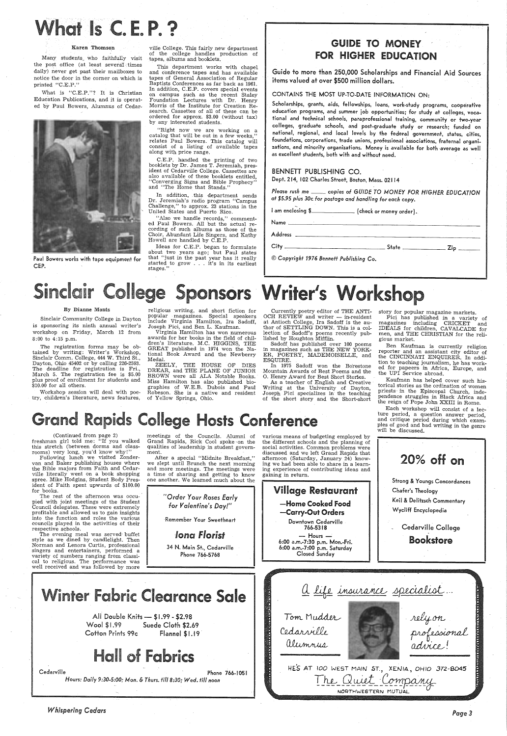Many students\_ who faithfully visit the post office (at least several times daily) never get past their mailboxes to notice the door in the corner on which is printed "C.E.P."

# **t Is C.E.P.?**

#### Karen Thomson

What is "C.E.P."? It is Christian Education Publications, and it is operated by Paul Bowers, Alumnus of Cedar-



Paul Bowers works with tape equipment for CEP.

#### By Dianne Monts

Sinclair Community College in Dayton is sponsoring its ninth annual writer's workshop on Friday, March 12 from 8:00 to 4:15 p.m.

The registration forms may be obtained by writing: Writer's Workshop, Sinclair Comm. College, 444 W. Third St., Dayton, Ohio 45402 or by calling 226-2593. The deadline for registration is Fri., March 5. The registration fee is \$5.00 plus proof of enrollment for students and \$10.00 for all others.

ville College. This fairly new department of the college handles production of tapes, albums and booklets.

"Also we handle records," commented Paul Bowers. All but the actual recording of such albums as those of the Choir, Abundant Life Singers, and Kathy Howell are handled by C.E.P.

Ideas for C.E.P. began to formulate about two years ago; but Paul states that ''just in the past year has it really started to grow ... it's in its earliest stages.'

This department works with chapel and conference tapes and has available tapes of General Association of Regular Baptists Conferences as far back as 1961. In addition, C.E.P. covers special events on campus such as the recent Staley Foundation Lectures with Dr. Henry Morris of the Institute for Creation Research. Cassettes of all of these can be ordered for approx. \$3.00 (without tax) by any interested students.

### GUIDE TO MONEY. FOR HIGHER EDUCATION

"Right now we are working on <sup>a</sup> catalog that will be out in a few weeks," relates Paul Bowers. This catalog will consist of a listing of available tapes along with price range.

C.E.P. handled the printing of two booklets by Dr. James T. Jeremiah, president of Cedarville College. Cassettes are also available of these booklets entitled, "Converging Signs and Bible Prophecy" and "The Home that Stands."

Workshop session will deal with poetry, children's literature, news features, of Yellow Springs, Ohio.

In addition, this department sends Dr. Jeremiah's radio program "Campus Challenge," to approx. 23 stations in the United States and Puerto Rico.

> Sadoff has published over 100 poems in magazines such as THE NEW YORK-ER, POETRY, MADEMOISELLE, and ESQUIRE.

> In 1975 Sadoff won the Borestone Mountain A wards of Best Poems and the 0. Henry Award for Best Short Stories.

religious writing, and short fiction for popular magazines. Special speakers include Virginia Hamilton, Ira Sadoff, Joseph Pici, and Ben L. Kaufman.

> Ben Kaufman is currently religion reporter and an assistant city editor of the CINCINNATI ENQUIRER. In addition to teaching journalism, he has worked for papeers in Africa, Europe, and the UPI Service abroad.

Virginia Hamilton has won numerous awards for her books in the field of children's literature. M.C. HIGGINS, THE GREAT published in 1974 won the National Book Award and the Newberry Medal.

> ture period, a question answer period, and critique period during which examples of good and bad writing in the genre

## Grand Rapids College Hosts Conference

 ZEELY, THE HOUSE OF DIES DREAR, and THE PLANE OF JUNIOR BROWN were all ALA Notable Books. Miss Hamilton has also published biographies of W.E.B. Dubois and Paul Robeson. She is a native and resident

Guide to more than 250,000 Scholarships and Financial Aid Sources items valued at over \$500 million dollars.

The evening meal was served· buffet Hours -Bookstore le as we dined by candlelight. Then 6:00 a.m.-7:30 p.m. Mon.-Fri. Norman and Lenora Curtis, professional 34 N. Main St., Cedarville 6:00 a.m.-7:00 p.m. Saturday singers and entertainers, performed a Closed Sunday Phone 766-5768 variety of numbers ranging from classical to religious. The performance was well received and was followed by more <u>a life insurance</u> sp <u>a life insurance</u> specialist... nter Fabric Clearance Sale rely on<br>professional<br>advice ! Tom Mudder All Double Knits - \$ I .99 - \$2.98 Wool \$1.99 Suede Cloth \$2.69 Cedarville Cotton Prints 99c Flannel \$1.19 alumnus **Hall of Fabrics** HES AT *WO* WEST MAJN' ST. <sup>7</sup>XENIA <sup>7</sup>OHIO 372-8045 Cedarville Phone 766-1051 The Quiet Company *Hours: Daily 9:30-5:00; Mon.* & *Thurs. till 8:30; Wed. till noon*  NORTHWESTERN MUTU

#### CONTAINS THE MOST UP-TO-DATE INFORMATION ON:

After a special "Midnite Breakfast,"<br>we slept until Brunch the next morning and more meetings. The meetings were <sup>a</sup>time of sharing and getting to know one another. We learned much about the Scholarships, grants, aids, fellowships, loans, work-study programs, cooperative education programs, and summer job opportunities; for study at colleges, vocational and technical schools, paraprofessional training, community or two-year colleges, graduate schools, and post-graduate study or research; funded on national, regional, and local levels by the federal government, states, cities, foundations, corporations, trade unions, professional associations, fraternal organizations, and minority organizations. Money is available for both average as well as excellent students, both with and without need.

#### BENNETT PUBLISHING CO.

Dept. 214, 102 Charles Street, Boston, Mass. 02114

*Please rush* me \_\_ *copies of GUIDE TO MONEY FOR HIGHER EDUCATION at \$5.95 plus 30c for postage and handling for each copy.* 

Name------------------------------

I am enclosing \$\_\_\_\_\_\_\_\_\_\_\_\_\_ (check or money order).

Address

 $City$   $\rule{1em}{0.15mm}$   $\rule{1em}{0.15mm}$   $\qquad$   $\qquad$   $\qquad$   $\qquad$   $\qquad$   $\qquad$   $\qquad$   $\qquad$   $\qquad$   $\qquad$   $\qquad$   $\qquad$   $\qquad$   $\qquad$   $\qquad$   $\qquad$   $\qquad$   $\qquad$   $\qquad$   $\qquad$   $\qquad$   $\qquad$   $\qquad$   $\qquad$   $\qquad$   $\qquad$   $\qquad$   $\qquad$   $\qquad$   $\qquad$   $\qquad$ 

© *Copyright 1976 Bennett Publishing* Co.

## Sinclair College Sponsors Writer's Works!

Currently poetry editor of THE ANTI-OCH REVIEW and writer — in-resident at Antioch College, Ira Sadoff is the au-thor of SETTLING DOWN. This is a collection of Sadoff's poems recently pub- lished by Houghton Mifflin.

As a teacher of English and Creative Writing at the University of Dayton, Joseph Pici specializes in' the teaching of the short story and the Short-short story for popular magazine markets.

Pici has published in a variety of magazines including CRICKET and IDEALS for children, CAVALCADE for men, and THE CHRISTIAN for the religious market.

Kaufman has helped cover such historical stories as the ordination of women priests - in the Episcopal Church, independence struggles in Black Africa and the reign of Pope John XXIII in Rome. Each workshop will consist of a lec-

(Continued from page 2) freshman girl told me: "If you walked this stretch (between dorms and classrooms) very long, you'd know why!"

Following lunch we visited Zondervan and Baker publishing houses where the Bible majors from Faith and Cedarville literally went on a book shopping spree. Mike Hodgins, Student Body President of Faith spent upwards of \$100.00 for books.

The rest of the afternoon was occupied with joint meetings of the Student Council delegates. These were extremely profitable and allowed us to gain insights into the function and roles the various councils played in the activities of their respective schools.

meetings of the Councils. Alumni of Grand Rapids, Rick Cool spoke -on the qualities of leadership in student government.

| "Order Your Roses Early<br>for Valentine's Day!" |  |  |  |  |
|--------------------------------------------------|--|--|--|--|
| Remember Your Sweetheart                         |  |  |  |  |
| <b>Jona Florist</b>                              |  |  |  |  |

*Whispering Cedars* 

various means of budgeting employed by the different schools and the planning of social activities. Common problems were discussed and we left Grand Rapids that afternoon (Saturday, January 24) knowing we had been able to share in a learning experience of contributing ideas and gaining in return.

|                                                          | Sŧ. |
|----------------------------------------------------------|-----|
| <b>Village Restaurant</b>                                | Οł  |
| —Home Cooked Food                                        | Кe  |
| -Carry-Out Orders                                        | W   |
| Downtown Cedarville<br>766-5318                          |     |
| $-$ Hours $-$<br>$6.00 \times m - 7.30 \times m$ Mon-Fri |     |

| TII. | be discussed.                                     |  |
|------|---------------------------------------------------|--|
|      | 20% off on                                        |  |
|      | Strong & Youngs Concordances<br>Chafer's Theology |  |
|      | Keil & Delitzsch Commentary                       |  |
|      | Wycliff Encyclopedia                              |  |
|      | Cedarville College                                |  |

*Page3*